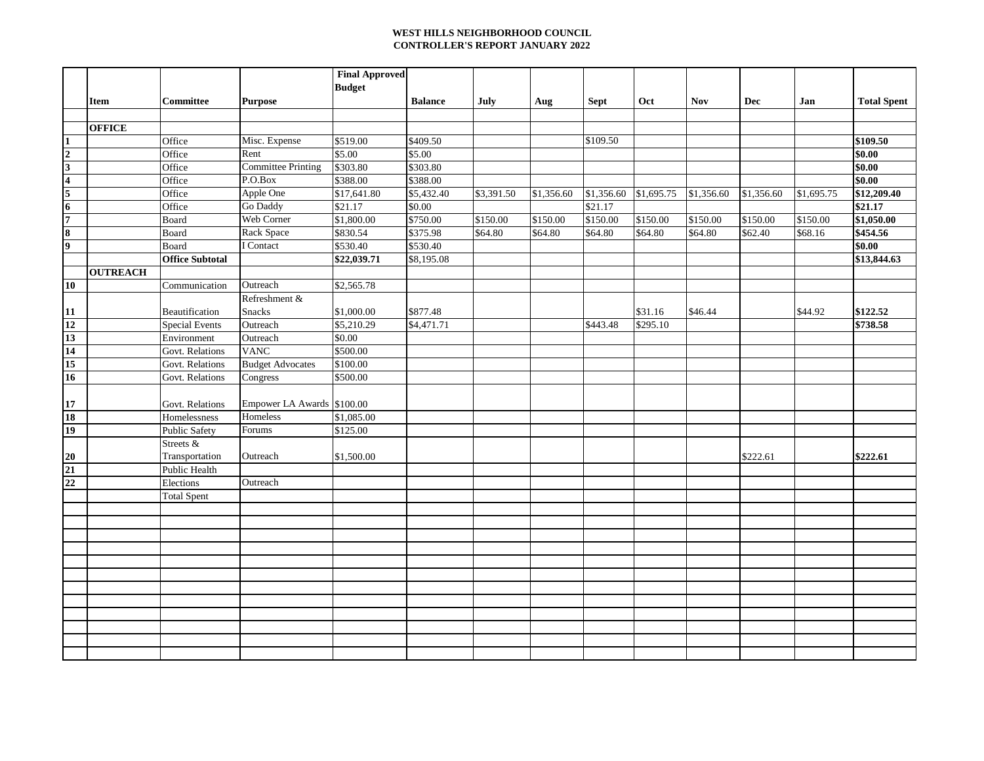## **WEST HILLS NEIGHBORHOOD COUNCIL CONTROLLER'S REPORT JANUARY 2022**

|                                                                                                                 |                 |                        |                            | <b>Final Approved</b> |                        |            |            |             |            |            |            |            |                    |
|-----------------------------------------------------------------------------------------------------------------|-----------------|------------------------|----------------------------|-----------------------|------------------------|------------|------------|-------------|------------|------------|------------|------------|--------------------|
|                                                                                                                 |                 |                        |                            | <b>Budget</b>         |                        |            |            |             |            |            |            |            |                    |
|                                                                                                                 | Item            | Committee              | <b>Purpose</b>             |                       | <b>Balance</b>         | July       | Aug        | <b>Sept</b> | Oct        | <b>Nov</b> | Dec        | Jan        | <b>Total Spent</b> |
|                                                                                                                 | <b>OFFICE</b>   |                        |                            |                       |                        |            |            |             |            |            |            |            |                    |
|                                                                                                                 |                 | Office                 | Misc. Expense              | \$519.00              | \$409.50               |            |            | \$109.50    |            |            |            |            | \$109.50           |
| $\frac{1}{2}$ $\frac{2}{3}$ $\frac{3}{4}$ $\frac{4}{5}$ $\frac{5}{6}$ $\frac{6}{7}$ $\frac{8}{8}$ $\frac{9}{9}$ |                 | Office                 | Rent                       | \$5.00                | \$5.00                 |            |            |             |            |            |            |            | \$0.00             |
|                                                                                                                 |                 | Office                 | <b>Committee Printing</b>  | \$303.80              | \$303.80               |            |            |             |            |            |            |            | \$0.00             |
|                                                                                                                 |                 | Office                 | P.O.Box                    | \$388.00              | \$388.00               |            |            |             |            |            |            |            | \$0.00             |
|                                                                                                                 |                 | Office                 | Apple One                  | \$17,641.80           | $\overline{$}5,432.40$ | \$3,391.50 | \$1,356.60 | \$1,356.60  | \$1,695.75 | \$1,356.60 | \$1,356.60 | \$1,695.75 | \$12,209.40        |
|                                                                                                                 |                 | Office                 | Go Daddy                   | \$21.17               | \$0.00                 |            |            | \$21.17     |            |            |            |            | \$21.17            |
|                                                                                                                 |                 | Board                  | Web Corner                 | \$1,800.00            | \$750.00               | \$150.00   | \$150.00   | \$150.00    | \$150.00   | \$150.00   | \$150.00   | \$150.00   | \$1,050.00         |
|                                                                                                                 |                 | Board                  | Rack Space                 | \$830.54              | \$375.98               | \$64.80    | \$64.80    | \$64.80     | \$64.80    | \$64.80    | \$62.40    | \$68.16    | \$454.56           |
|                                                                                                                 |                 | Board                  | I Contact                  | \$530.40              | \$530.40               |            |            |             |            |            |            |            | \$0.00             |
|                                                                                                                 |                 | <b>Office Subtotal</b> |                            | \$22,039.71           | \$8,195.08             |            |            |             |            |            |            |            | \$13,844.63        |
|                                                                                                                 | <b>OUTREACH</b> |                        |                            |                       |                        |            |            |             |            |            |            |            |                    |
| $\overline{10}$                                                                                                 |                 | Communication          | Outreach                   | \$2,565.78            |                        |            |            |             |            |            |            |            |                    |
|                                                                                                                 |                 |                        | Refreshment &              |                       |                        |            |            |             |            |            |            |            |                    |
|                                                                                                                 |                 | Beautification         | <b>Snacks</b>              | \$1,000.00            | \$877.48               |            |            |             | \$31.16    | \$46.44    |            | \$44.92    | \$122.52           |
|                                                                                                                 |                 | <b>Special Events</b>  | Outreach                   | \$5,210.29            | \$4,471.71             |            |            | \$443.48    | \$295.10   |            |            |            | \$738.58           |
|                                                                                                                 |                 | Environment            | Outreach                   | \$0.00                |                        |            |            |             |            |            |            |            |                    |
|                                                                                                                 |                 | Govt. Relations        | <b>VANC</b>                | \$500.00              |                        |            |            |             |            |            |            |            |                    |
|                                                                                                                 |                 | Govt. Relations        | <b>Budget Advocates</b>    | \$100.00              |                        |            |            |             |            |            |            |            |                    |
| $\frac{11}{12}$ $\frac{13}{14}$ $\frac{15}{16}$                                                                 |                 | Govt. Relations        | Congress                   | \$500.00              |                        |            |            |             |            |            |            |            |                    |
|                                                                                                                 |                 |                        |                            |                       |                        |            |            |             |            |            |            |            |                    |
| $\frac{17}{18}$                                                                                                 |                 | Govt. Relations        | Empower LA Awards \$100.00 |                       |                        |            |            |             |            |            |            |            |                    |
|                                                                                                                 |                 | Homelessness           | Homeless                   | \$1,085.00            |                        |            |            |             |            |            |            |            |                    |
| 19                                                                                                              |                 | <b>Public Safety</b>   | Forums                     | \$125.00              |                        |            |            |             |            |            |            |            |                    |
|                                                                                                                 |                 | Streets &              |                            |                       |                        |            |            |             |            |            |            |            |                    |
|                                                                                                                 |                 | Transportation         | Outreach                   | \$1,500.00            |                        |            |            |             |            |            | \$222.61   |            | \$222.61           |
| $\frac{20}{21}$                                                                                                 |                 | Public Health          |                            |                       |                        |            |            |             |            |            |            |            |                    |
|                                                                                                                 |                 | Elections              | Outreach                   |                       |                        |            |            |             |            |            |            |            |                    |
|                                                                                                                 |                 | <b>Total Spent</b>     |                            |                       |                        |            |            |             |            |            |            |            |                    |
|                                                                                                                 |                 |                        |                            |                       |                        |            |            |             |            |            |            |            |                    |
|                                                                                                                 |                 |                        |                            |                       |                        |            |            |             |            |            |            |            |                    |
|                                                                                                                 |                 |                        |                            |                       |                        |            |            |             |            |            |            |            |                    |
|                                                                                                                 |                 |                        |                            |                       |                        |            |            |             |            |            |            |            |                    |
|                                                                                                                 |                 |                        |                            |                       |                        |            |            |             |            |            |            |            |                    |
|                                                                                                                 |                 |                        |                            |                       |                        |            |            |             |            |            |            |            |                    |
|                                                                                                                 |                 |                        |                            |                       |                        |            |            |             |            |            |            |            |                    |
|                                                                                                                 |                 |                        |                            |                       |                        |            |            |             |            |            |            |            |                    |
|                                                                                                                 |                 |                        |                            |                       |                        |            |            |             |            |            |            |            |                    |
|                                                                                                                 |                 |                        |                            |                       |                        |            |            |             |            |            |            |            |                    |
|                                                                                                                 |                 |                        |                            |                       |                        |            |            |             |            |            |            |            |                    |
|                                                                                                                 |                 |                        |                            |                       |                        |            |            |             |            |            |            |            |                    |